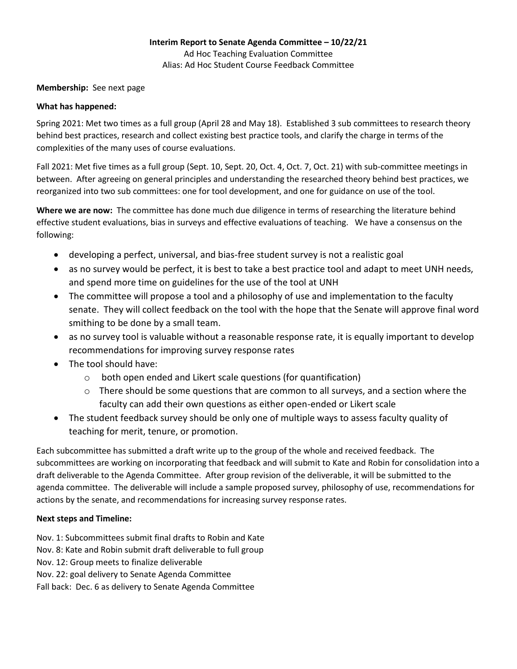## **Membership:** See next page

## **What has happened:**

Spring 2021: Met two times as a full group (April 28 and May 18). Established 3 sub committees to research theory behind best practices, research and collect existing best practice tools, and clarify the charge in terms of the complexities of the many uses of course evaluations.

Fall 2021: Met five times as a full group (Sept. 10, Sept. 20, Oct. 4, Oct. 7, Oct. 21) with sub-committee meetings in between. After agreeing on general principles and understanding the researched theory behind best practices, we reorganized into two sub committees: one for tool development, and one for guidance on use of the tool.

**Where we are now:** The committee has done much due diligence in terms of researching the literature behind effective student evaluations, bias in surveys and effective evaluations of teaching. We have a consensus on the following:

- developing a perfect, universal, and bias-free student survey is not a realistic goal
- as no survey would be perfect, it is best to take a best practice tool and adapt to meet UNH needs, and spend more time on guidelines for the use of the tool at UNH
- The committee will propose a tool and a philosophy of use and implementation to the faculty senate. They will collect feedback on the tool with the hope that the Senate will approve final word smithing to be done by a small team.
- as no survey tool is valuable without a reasonable response rate, it is equally important to develop recommendations for improving survey response rates
- The tool should have:
	- o both open ended and Likert scale questions (for quantification)
	- $\circ$  There should be some questions that are common to all surveys, and a section where the faculty can add their own questions as either open-ended or Likert scale
- The student feedback survey should be only one of multiple ways to assess faculty quality of teaching for merit, tenure, or promotion.

Each subcommittee has submitted a draft write up to the group of the whole and received feedback. The subcommittees are working on incorporating that feedback and will submit to Kate and Robin for consolidation into a draft deliverable to the Agenda Committee. After group revision of the deliverable, it will be submitted to the agenda committee. The deliverable will include a sample proposed survey, philosophy of use, recommendations for actions by the senate, and recommendations for increasing survey response rates.

## **Next steps and Timeline:**

Nov. 1: Subcommittees submit final drafts to Robin and Kate Nov. 8: Kate and Robin submit draft deliverable to full group

Nov. 12: Group meets to finalize deliverable

Nov. 22: goal delivery to Senate Agenda Committee

Fall back: Dec. 6 as delivery to Senate Agenda Committee